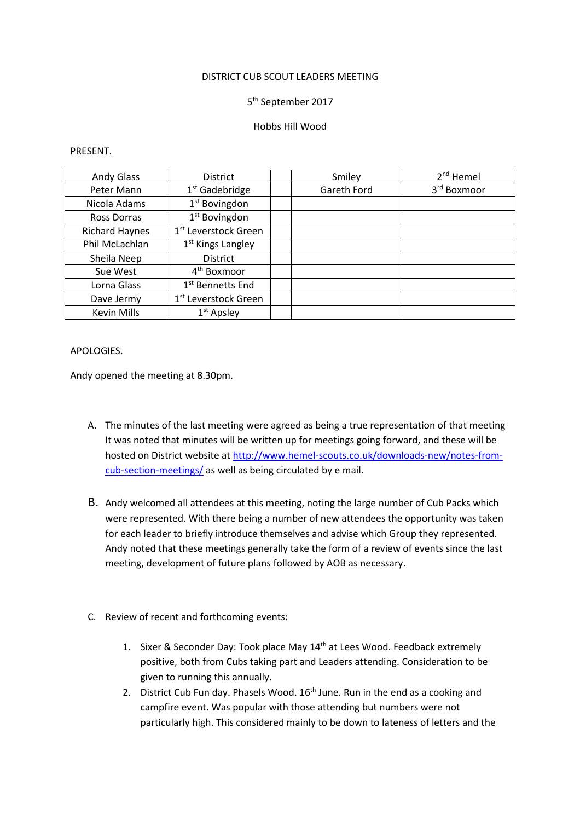#### DISTRICT CUB SCOUT LEADERS MEETING

# 5<sup>th</sup> September 2017

## Hobbs Hill Wood

#### PRESENT.

| <b>Andy Glass</b>     | District                         | Smiley      | 2 <sup>nd</sup> Hemel |
|-----------------------|----------------------------------|-------------|-----------------------|
| Peter Mann            | $1st$ Gadebridge                 | Gareth Ford | 3rd Boxmoor           |
| Nicola Adams          | 1 <sup>st</sup> Bovingdon        |             |                       |
| Ross Dorras           | 1 <sup>st</sup> Bovingdon        |             |                       |
| <b>Richard Haynes</b> | 1 <sup>st</sup> Leverstock Green |             |                       |
| Phil McLachlan        | 1 <sup>st</sup> Kings Langley    |             |                       |
| Sheila Neep           | <b>District</b>                  |             |                       |
| Sue West              | 4 <sup>th</sup> Boxmoor          |             |                       |
| Lorna Glass           | 1 <sup>st</sup> Bennetts End     |             |                       |
| Dave Jermy            | 1 <sup>st</sup> Leverstock Green |             |                       |
| <b>Kevin Mills</b>    | $1st$ Apsley                     |             |                       |

## APOLOGIES.

Andy opened the meeting at 8.30pm.

- A. The minutes of the last meeting were agreed as being a true representation of that meeting It was noted that minutes will be written up for meetings going forward, and these will be hosted on District website at http://www.hemel-scouts.co.uk/downloads-new/notes-fromcub-section-meetings/ as well as being circulated by e mail.
- B. Andy welcomed all attendees at this meeting, noting the large number of Cub Packs which were represented. With there being a number of new attendees the opportunity was taken for each leader to briefly introduce themselves and advise which Group they represented. Andy noted that these meetings generally take the form of a review of events since the last meeting, development of future plans followed by AOB as necessary.
- C. Review of recent and forthcoming events:
	- 1. Sixer & Seconder Day: Took place May 14<sup>th</sup> at Lees Wood. Feedback extremely positive, both from Cubs taking part and Leaders attending. Consideration to be given to running this annually.
	- 2. District Cub Fun day. Phasels Wood.  $16<sup>th</sup>$  June. Run in the end as a cooking and campfire event. Was popular with those attending but numbers were not particularly high. This considered mainly to be down to lateness of letters and the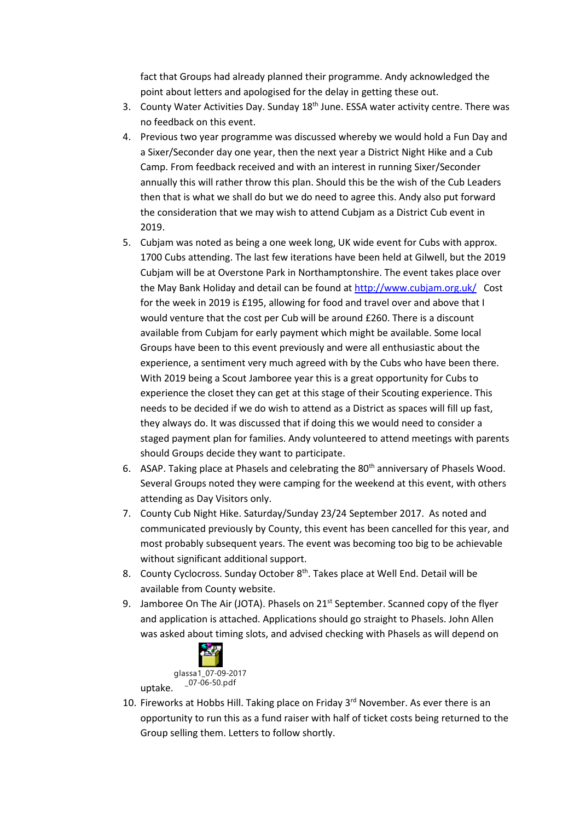fact that Groups had already planned their programme. Andy acknowledged the point about letters and apologised for the delay in getting these out.

- 3. County Water Activities Day. Sunday 18<sup>th</sup> June. ESSA water activity centre. There was no feedback on this event.
- 4. Previous two year programme was discussed whereby we would hold a Fun Day and a Sixer/Seconder day one year, then the next year a District Night Hike and a Cub Camp. From feedback received and with an interest in running Sixer/Seconder annually this will rather throw this plan. Should this be the wish of the Cub Leaders then that is what we shall do but we do need to agree this. Andy also put forward the consideration that we may wish to attend Cubjam as a District Cub event in 2019.
- 5. Cubjam was noted as being a one week long, UK wide event for Cubs with approx. 1700 Cubs attending. The last few iterations have been held at Gilwell, but the 2019 Cubjam will be at Overstone Park in Northamptonshire. The event takes place over the May Bank Holiday and detail can be found at http://www.cubjam.org.uk/ Cost for the week in 2019 is £195, allowing for food and travel over and above that I would venture that the cost per Cub will be around £260. There is a discount available from Cubjam for early payment which might be available. Some local Groups have been to this event previously and were all enthusiastic about the experience, a sentiment very much agreed with by the Cubs who have been there. With 2019 being a Scout Jamboree year this is a great opportunity for Cubs to experience the closet they can get at this stage of their Scouting experience. This needs to be decided if we do wish to attend as a District as spaces will fill up fast, they always do. It was discussed that if doing this we would need to consider a staged payment plan for families. Andy volunteered to attend meetings with parents should Groups decide they want to participate.
- 6. ASAP. Taking place at Phasels and celebrating the 80<sup>th</sup> anniversary of Phasels Wood. Several Groups noted they were camping for the weekend at this event, with others attending as Day Visitors only.
- 7. County Cub Night Hike. Saturday/Sunday 23/24 September 2017. As noted and communicated previously by County, this event has been cancelled for this year, and most probably subsequent years. The event was becoming too big to be achievable without significant additional support.
- 8. County Cyclocross. Sunday October 8<sup>th</sup>. Takes place at Well End. Detail will be available from County website.
- 9. Jamboree On The Air (JOTA). Phasels on  $21^{st}$  September. Scanned copy of the flyer and application is attached. Applications should go straight to Phasels. John Allen was asked about timing slots, and advised checking with Phasels as will depend on



10. Fireworks at Hobbs Hill. Taking place on Friday 3<sup>rd</sup> November. As ever there is an opportunity to run this as a fund raiser with half of ticket costs being returned to the Group selling them. Letters to follow shortly.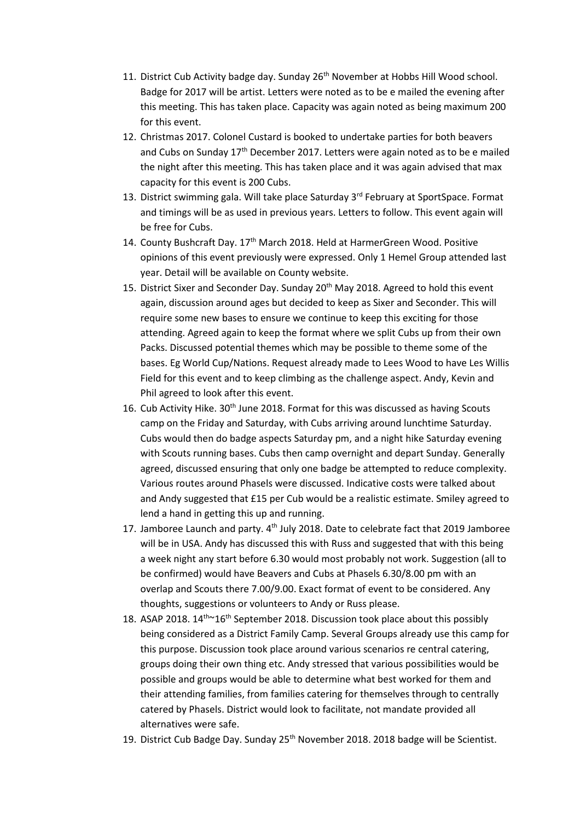- 11. District Cub Activity badge day. Sunday 26<sup>th</sup> November at Hobbs Hill Wood school. Badge for 2017 will be artist. Letters were noted as to be e mailed the evening after this meeting. This has taken place. Capacity was again noted as being maximum 200 for this event.
- 12. Christmas 2017. Colonel Custard is booked to undertake parties for both beavers and Cubs on Sunday 17th December 2017. Letters were again noted as to be e mailed the night after this meeting. This has taken place and it was again advised that max capacity for this event is 200 Cubs.
- 13. District swimming gala. Will take place Saturday 3<sup>rd</sup> February at SportSpace. Format and timings will be as used in previous years. Letters to follow. This event again will be free for Cubs.
- 14. County Bushcraft Day. 17<sup>th</sup> March 2018. Held at HarmerGreen Wood. Positive opinions of this event previously were expressed. Only 1 Hemel Group attended last year. Detail will be available on County website.
- 15. District Sixer and Seconder Day. Sunday 20<sup>th</sup> May 2018. Agreed to hold this event again, discussion around ages but decided to keep as Sixer and Seconder. This will require some new bases to ensure we continue to keep this exciting for those attending. Agreed again to keep the format where we split Cubs up from their own Packs. Discussed potential themes which may be possible to theme some of the bases. Eg World Cup/Nations. Request already made to Lees Wood to have Les Willis Field for this event and to keep climbing as the challenge aspect. Andy, Kevin and Phil agreed to look after this event.
- 16. Cub Activity Hike.  $30<sup>th</sup>$  June 2018. Format for this was discussed as having Scouts camp on the Friday and Saturday, with Cubs arriving around lunchtime Saturday. Cubs would then do badge aspects Saturday pm, and a night hike Saturday evening with Scouts running bases. Cubs then camp overnight and depart Sunday. Generally agreed, discussed ensuring that only one badge be attempted to reduce complexity. Various routes around Phasels were discussed. Indicative costs were talked about and Andy suggested that £15 per Cub would be a realistic estimate. Smiley agreed to lend a hand in getting this up and running.
- 17. Jamboree Launch and party. 4<sup>th</sup> July 2018. Date to celebrate fact that 2019 Jamboree will be in USA. Andy has discussed this with Russ and suggested that with this being a week night any start before 6.30 would most probably not work. Suggestion (all to be confirmed) would have Beavers and Cubs at Phasels 6.30/8.00 pm with an overlap and Scouts there 7.00/9.00. Exact format of event to be considered. Any thoughts, suggestions or volunteers to Andy or Russ please.
- 18. ASAP 2018.  $14^{th}$  $16^{th}$  September 2018. Discussion took place about this possibly being considered as a District Family Camp. Several Groups already use this camp for this purpose. Discussion took place around various scenarios re central catering, groups doing their own thing etc. Andy stressed that various possibilities would be possible and groups would be able to determine what best worked for them and their attending families, from families catering for themselves through to centrally catered by Phasels. District would look to facilitate, not mandate provided all alternatives were safe.
- 19. District Cub Badge Day. Sunday 25<sup>th</sup> November 2018. 2018 badge will be Scientist.